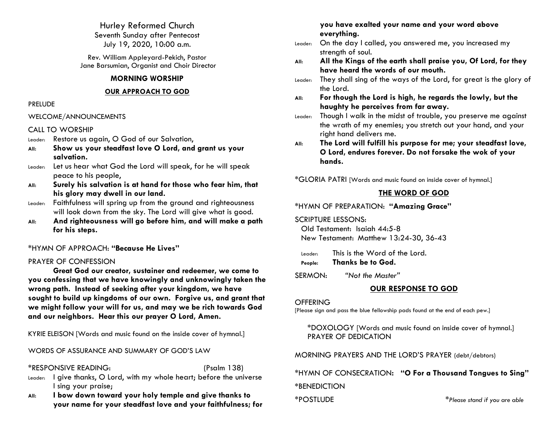Hurley Reformed Church Seventh Sunday after Pentecost July 19, 2020, 10:00 a.m.

Rev. William Appleyard-Pekich, Pastor Jane Barsumian, Organist and Choir Director

# **MORNING WORSHIP**

# **OUR APPROACH TO GOD**

## PRELUDE

## WELCOME/ANNOUNCEMENTS

# CALL TO WORSHIP

- Leader: Restore us again, O God of our Salvation,
- **All: Show us your steadfast love O Lord, and grant us your salvation.**
- Leader: Let us hear what God the Lord will speak, for he will speak peace to his people,
- **All: Surely his salvation is at hand for those who fear him, that his glory may dwell in our land.**
- Leader: Faithfulness will spring up from the ground and righteousness will look down from the sky. The Lord will give what is good.
- **All: And righteousness will go before him, and will make a path for his steps.**

\*HYMN OF APPROACH: **"Because He Lives"**

# PRAYER OF CONFESSION

**Great God our creator, sustainer and redeemer, we come to you confessing that we have knowingly and unknowingly taken the wrong path. Instead of seeking after your kingdom, we have sought to build up kingdoms of our own. Forgive us, and grant that we might follow your will for us, and may we be rich towards God and our neighbors. Hear this our prayer O Lord, Amen.** 

KYRIE ELEISON [Words and music found on the inside cover of hymnal.]

WORDS OF ASSURANCE AND SUMMARY OF GOD'S LAW

## \*RESPONSIVE READING: (Psalm 138)

- Leader: I give thanks, O Lord, with my whole heart; before the universe I sing your praise;
- **All: I bow down toward your holy temple and give thanks to your name for your steadfast love and your faithfulness; for**

# **you have exalted your name and your word above everything.**

- Leader: On the day I called, you answered me, you increased my strength of soul.
- **All: All the Kings of the earth shall praise you, Of Lord, for they have heard the words of our mouth.**
- Leader: They shall sing of the ways of the Lord, for great is the glory of the Lord.
- **All: For though the Lord is high, he regards the lowly, but the haughty he perceives from far away.**
- Leader: Though I walk in the midst of trouble, you preserve me against the wrath of my enemies; you stretch out your hand, and your right hand delivers me.
- **All: The Lord will fulfill his purpose for me; your steadfast love, O Lord, endures forever. Do not forsake the wok of your hands.**

\*GLORIA PATRI [Words and music found on inside cover of hymnal.]

# **THE WORD OF GOD**

\*HYMN OF PREPARATION: **"Amazing Grace"**

# SCRIPTURE LESSONS:

Old Testament: Isaiah 44:5-8 New Testament: Matthew 13:24-30, 36-43

Leader: This is the Word of the Lord. **People: Thanks be to God.**

SERMON: *"Not the Master"*

# **OUR RESPONSE TO GOD**

# **OFFERING**

[Please sign and pass the blue fellowship pads found at the end of each pew.]

\*DOXOLOGY [Words and music found on inside cover of hymnal.] PRAYER OF DEDICATION

MORNING PRAYERS AND THE LORD'S PRAYER (debt/debtors)

\*HYMN OF CONSECRATION**: "O For a Thousand Tongues to Sing" \***BENEDICTION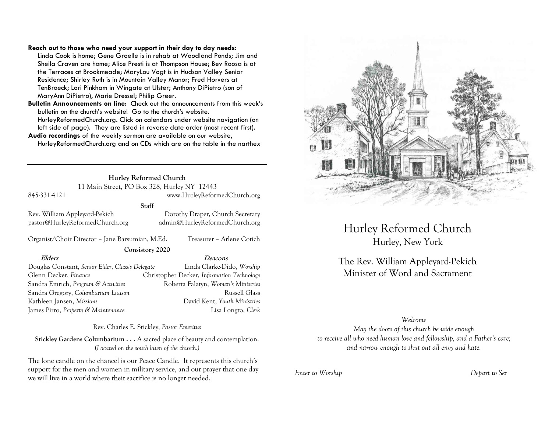#### **Reach out to those who need your support in their day to day needs:**

Linda Cook is home; Gene Groelle is in rehab at Woodland Ponds; Jim and Sheila Craven are home; Alice Presti is at Thompson House; Bev Roosa is at the Terraces at Brookmeade; MaryLou Vogt is in Hudson Valley Senior Residence; Shirley Ruth is in Mountain Valley Manor; Fred Horvers at TenBroeck; Lori Pinkham in Wingate at Ulster; Anthony DiPietro (son of MaryAnn DiPietro), Marie Dressel; Philip Greer.

**Bulletin Announcements on line:** Check out the announcements from this week's bulletin on the church's website! Go to the church's website. HurleyReformedChurch.org. Click on calendars under website navigation (on left side of page). They are listed in reverse date order (most recent first). **Audio recordings** of the weekly sermon are available on our website,

HurleyReformedChurch.org and on CDs which are on the table in the narthex

**Hurley Reformed Church** 11 Main Street, PO Box 328, Hurley NY 12443

### 845-331-4121 www.HurleyReformedChurch.org

#### **Staff**

pastor@HurleyReformedChurch.org admin@HurleyReformedChurch.org

Rev. William Appleyard-Pekich Dorothy Draper, Church Secretary

Organist/Choir Director – Jane Barsumian, M.Ed. Treasurer – Arlene Cotich

#### **Consistory 2020**

**Elders Deacons** Douglas Constant, *Senior Elder*, *Classis Delegate* Linda Clarke-Dido, *Worship* Glenn Decker, *Finance* Christopher Decker, *Information Technology* Sandra Emrich, *Program & Activities* Roberta Falatyn, *Women's Ministries* Sandra Gregory, *Columbarium Liaison* **Russell Glass** Russell Glass Kathleen Jansen, *Missions* David Kent, *Youth Ministries*

James Pirro, *Property & Maintenance* Lisa Longto, *Clerk*

Rev. Charles E. Stickley, *Pastor Emeritus*

**Stickley Gardens Columbarium . . .** A sacred place of beauty and contemplation. (*Located on the south lawn of the church.)* 

The lone candle on the chancel is our Peace Candle. It represents this church's support for the men and women in military service, and our prayer that one day we will live in a world where their sacrifice is no longer needed.



Hurley Reformed Church Hurley, New York

The Rev. William Appleyard-Pekich Minister of Word and Sacrament

## *Welcome*

*May the doors of this church be wide enough to receive all who need human love and fellowship, and a Father's care; and narrow enough to shut out all envy and hate.*

*Enter to Worship Depart to Ser*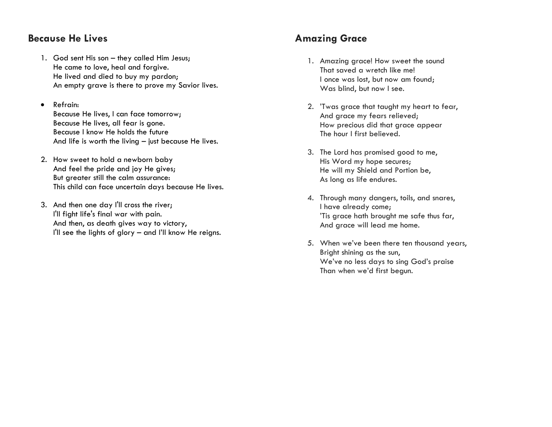# **Because He Lives**

- 1. God sent His son they called Him Jesus; He came to love, heal and forgive. He lived and died to buy my pardon; An empty grave is there to prove my Savior lives.
- Refrain: Because He lives, I can face tomorrow; Because He lives, all fear is gone. Because I know He holds the future And life is worth the living – just because He lives.
- 2. How sweet to hold a newborn baby And feel the pride and joy He gives; But greater still the calm assurance: This child can face uncertain days because He lives.
- 3. And then one day I'll cross the river; I'll fight life's final war with pain. And then, as death gives way to victory, I'll see the lights of glory – and I'll know He reigns.

# **Amazing Grace**

- 1. Amazing grace! How sweet the sound That saved a wretch like me! I once was lost, but now am found; Was blind, but now I see.
- 2. 'Twas grace that taught my heart to fear, And grace my fears relieved; How precious did that grace appear The hour I first believed.
- 3. The Lord has promised good to me, His Word my hope secures; He will my Shield and Portion be, As long as life endures.
- 4. Through many dangers, toils, and snares, I have already come; 'Tis grace hath brought me safe thus far, And grace will lead me home.
- 5. When we've been there ten thousand years, Bright shining as the sun, We've no less days to sing God's praise Than when we'd first begun.